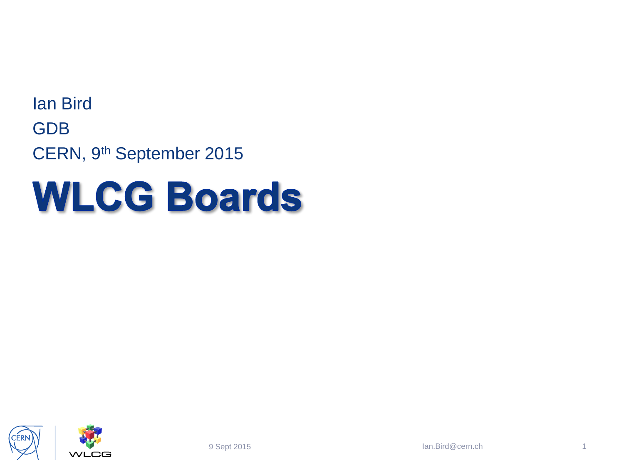Ian Bird GDB CERN, 9th September 2015

## **WLCG Boards**

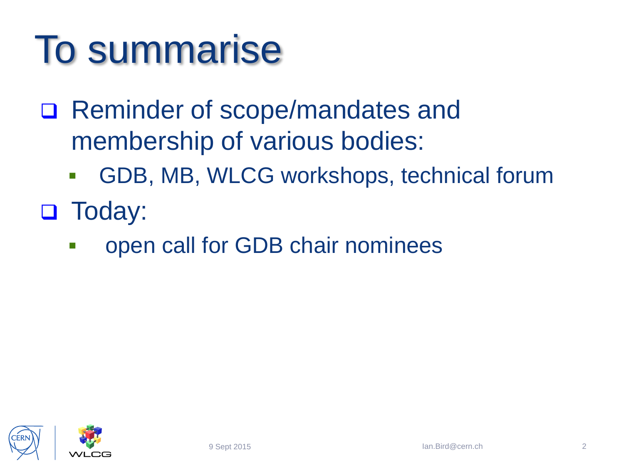## To summarise

- □ Reminder of scope/mandates and membership of various bodies:
	- GDB, MB, WLCG workshops, technical forum
- **D** Today:
	- **open call for GDB chair nominees**

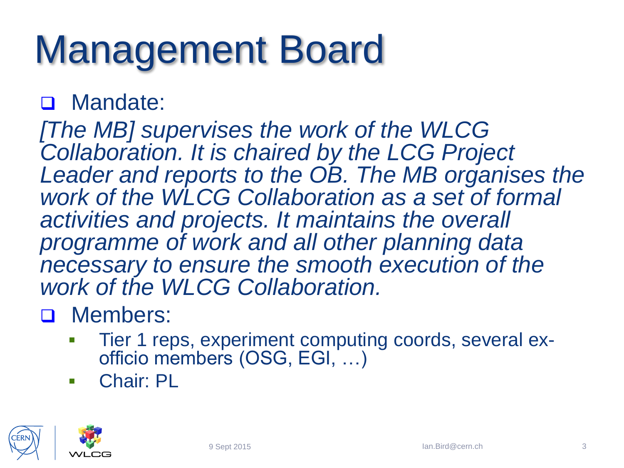# Management Board

### D Mandate:

*[The MB] supervises the work of the WLCG Collaboration. It is chaired by the LCG Project Leader and reports to the OB. The MB organises the work of the WLCG Collaboration as a set of formal activities and projects. It maintains the overall programme of work and all other planning data necessary to ensure the smooth execution of the work of the WLCG Collaboration.* 

### D Members:

- Tier 1 reps, experiment computing coords, several exofficio members (OSG, EGI, …)
- **Chair: PL**

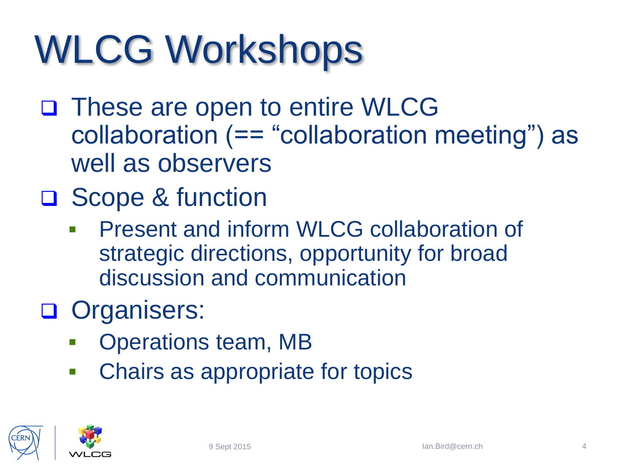# WLCG Workshops

- □ These are open to entire WLCG collaboration (== "collaboration meeting") as well as observers
- **□ Scope & function** 
	- **Present and inform WLCG collaboration of** strategic directions, opportunity for broad discussion and communication
- Organisers:
	- Operations team, MB
	- **-** Chairs as appropriate for topics

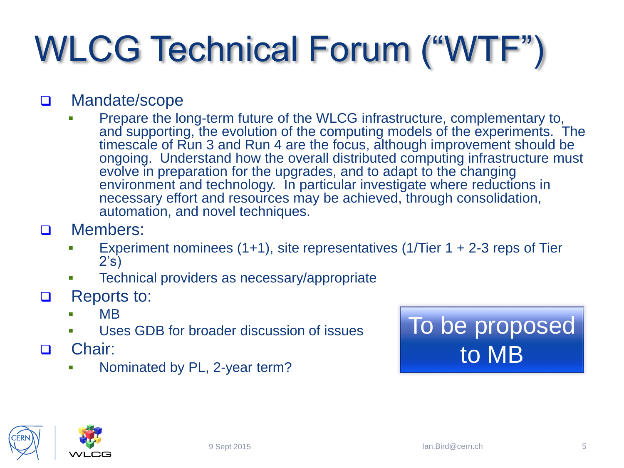## WLCG Technical Forum ("WTF")

#### D Mandate/scope

- Prepare the long-term future of the WLCG infrastructure, complementary to, and supporting, the evolution of the computing models of the experiments. The timescale of Run 3 and Run 4 are the focus, although improvement should be ongoing. Understand how the overall distributed computing infrastructure must evolve in preparation for the upgrades, and to adapt to the changing environment and technology. In particular investigate where reductions in necessary effort and resources may be achieved, through consolidation, automation, and novel techniques.
- D Members:
	- Experiment nominees (1+1), site representatives (1/Tier 1 + 2-3 reps of Tier 2's)
	- **Technical providers as necessary/appropriate**
- □ Reports to:
	- $\blacksquare$  MB
	- Uses GDB for broader discussion of issues
- □ Chair:
	- Nominated by PL, 2-year term?



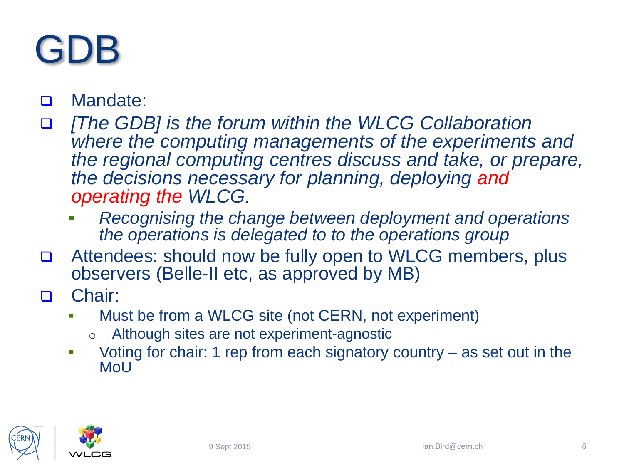### GDB

#### Mandate:

- *<u>If</u> The GDB] is the forum within the WLCG Collaboration I where the computing managements of the experiments and the regional computing centres discuss and take, or prepare, the decisions necessary for planning, deploying and operating the WLCG.* 
	- *Recognising the change between deployment and operations the operations is delegated to to the operations group*
- Attendees: should now be fully open to WLCG members, plus observers (Belle-II etc, as approved by MB)
- □ Chair:
	- Must be from a WLCG site (not CERN, not experiment)
		- o Although sites are not experiment-agnostic
	- Voting for chair: 1 rep from each signatory country as set out in the MoU

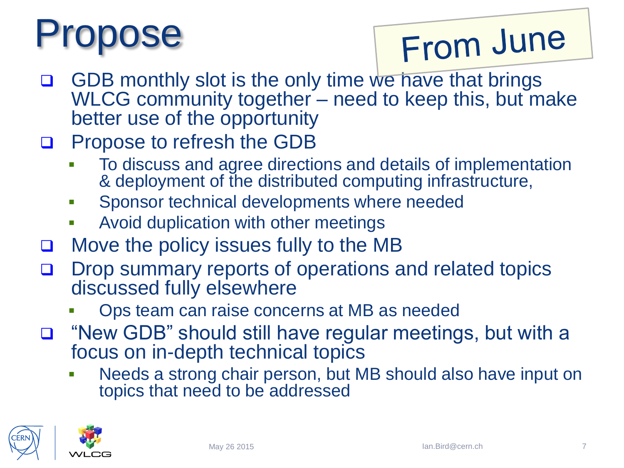# opose

## From June

- **GDB** monthly slot is the only time we have that brings WLCG community together – need to keep this, but make better use of the opportunity
- **Q** Propose to refresh the GDB
	- To discuss and agree directions and details of implementation & deployment of the distributed computing infrastructure,
	- **Sponsor technical developments where needed**
	- Avoid duplication with other meetings
- **D** Move the policy issues fully to the MB
- D Drop summary reports of operations and related topics discussed fully elsewhere
	- Ops team can raise concerns at MB as needed
- □ "New GDB" should still have regular meetings, but with a focus on in-depth technical topics
	- Needs a strong chair person, but MB should also have input on topics that need to be addressed

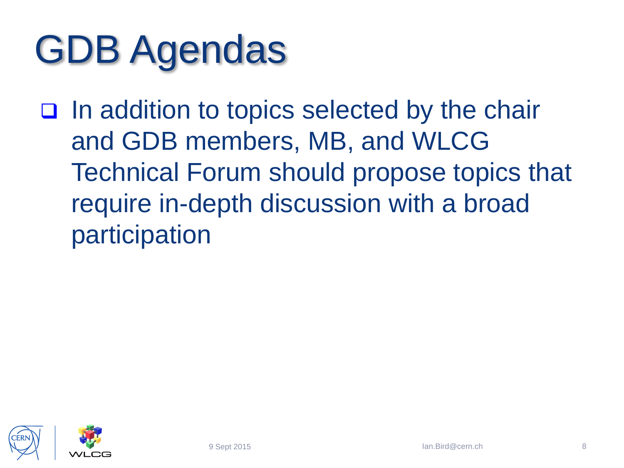# GDB Agendas

 $\Box$  In addition to topics selected by the chair and GDB members, MB, and WLCG Technical Forum should propose topics that require in-depth discussion with a broad participation